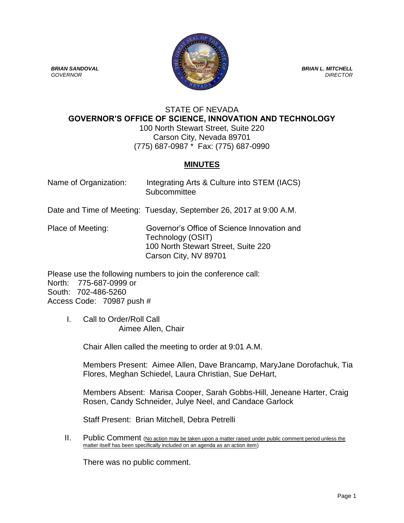

### STATE OF NEVADA **GOVERNOR'S OFFICE OF SCIENCE, INNOVATION AND TECHNOLOGY** 100 North Stewart Street, Suite 220 Carson City, Nevada 89701 (775) 687-0987 \* Fax: (775) 687-0990

# **MINUTES**

| Name of Organization: | Integrating Arts & Culture into STEM (IACS) |
|-----------------------|---------------------------------------------|
|                       | Subcommittee                                |

Date and Time of Meeting: Tuesday, September 26, 2017 at 9:00 A.M.

Place of Meeting: Governor's Office of Science Innovation and Technology (OSIT) 100 North Stewart Street, Suite 220 Carson City, NV 89701

Please use the following numbers to join the conference call: North: 775-687-0999 or South: 702-486-5260 Access Code: 70987 push #

I. Call to Order/Roll Call Aimee Allen, Chair

Chair Allen called the meeting to order at 9:01 A.M.

Members Present: Aimee Allen, Dave Brancamp, MaryJane Dorofachuk, Tia Flores, Meghan Schiedel, Laura Christian, Sue DeHart,

Members Absent: Marisa Cooper, Sarah Gobbs-Hill, Jeneane Harter, Craig Rosen, Candy Schneider, Julye Neel, and Candace Garlock

Staff Present: Brian Mitchell, Debra Petrelli

II. Public Comment (No action may be taken upon a matter raised under public comment period unless the matter itself has been specifically included on an agenda as an action item)

There was no public comment.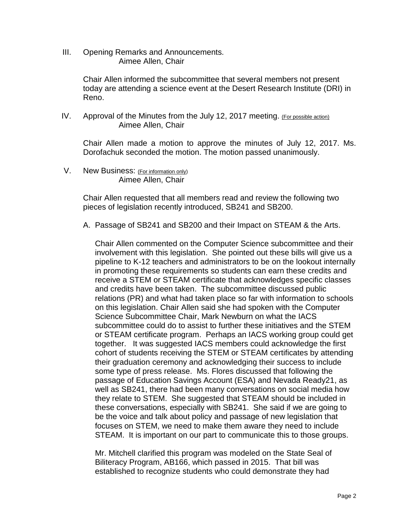III. Opening Remarks and Announcements. Aimee Allen, Chair

> Chair Allen informed the subcommittee that several members not present today are attending a science event at the Desert Research Institute (DRI) in Reno.

IV. Approval of the Minutes from the July 12, 2017 meeting. (For possible action) Aimee Allen, Chair

Chair Allen made a motion to approve the minutes of July 12, 2017. Ms. Dorofachuk seconded the motion. The motion passed unanimously.

V. New Business: (For information only) Aimee Allen, Chair

> Chair Allen requested that all members read and review the following two pieces of legislation recently introduced, SB241 and SB200.

> A. Passage of SB241 and SB200 and their Impact on STEAM & the Arts.

Chair Allen commented on the Computer Science subcommittee and their involvement with this legislation. She pointed out these bills will give us a pipeline to K-12 teachers and administrators to be on the lookout internally in promoting these requirements so students can earn these credits and receive a STEM or STEAM certificate that acknowledges specific classes and credits have been taken. The subcommittee discussed public relations (PR) and what had taken place so far with information to schools on this legislation. Chair Allen said she had spoken with the Computer Science Subcommittee Chair, Mark Newburn on what the IACS subcommittee could do to assist to further these initiatives and the STEM or STEAM certificate program. Perhaps an IACS working group could get together. It was suggested IACS members could acknowledge the first cohort of students receiving the STEM or STEAM certificates by attending their graduation ceremony and acknowledging their success to include some type of press release. Ms. Flores discussed that following the passage of Education Savings Account (ESA) and Nevada Ready21, as well as SB241, there had been many conversations on social media how they relate to STEM. She suggested that STEAM should be included in these conversations, especially with SB241. She said if we are going to be the voice and talk about policy and passage of new legislation that focuses on STEM, we need to make them aware they need to include STEAM. It is important on our part to communicate this to those groups.

Mr. Mitchell clarified this program was modeled on the State Seal of Biliteracy Program, AB166, which passed in 2015. That bill was established to recognize students who could demonstrate they had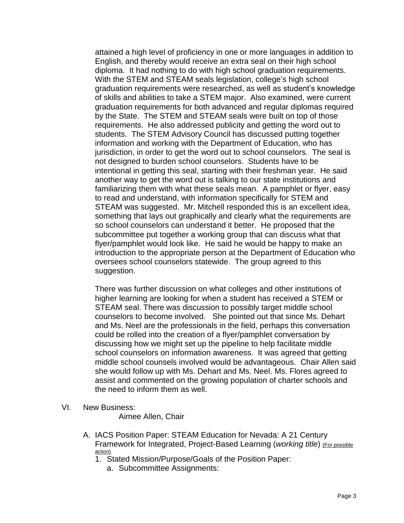attained a high level of proficiency in one or more languages in addition to English, and thereby would receive an extra seal on their high school diploma. It had nothing to do with high school graduation requirements. With the STEM and STEAM seals legislation, college's high school graduation requirements were researched, as well as student's knowledge of skills and abilities to take a STEM major. Also examined, were current graduation requirements for both advanced and regular diplomas required by the State. The STEM and STEAM seals were built on top of those requirements. He also addressed publicity and getting the word out to students. The STEM Advisory Council has discussed putting together information and working with the Department of Education, who has jurisdiction, in order to get the word out to school counselors. The seal is not designed to burden school counselors. Students have to be intentional in getting this seal, starting with their freshman year. He said another way to get the word out is talking to our state institutions and familiarizing them with what these seals mean. A pamphlet or flyer, easy to read and understand, with information specifically for STEM and STEAM was suggested. Mr. Mitchell responded this is an excellent idea, something that lays out graphically and clearly what the requirements are so school counselors can understand it better. He proposed that the subcommittee put together a working group that can discuss what that flyer/pamphlet would look like. He said he would be happy to make an introduction to the appropriate person at the Department of Education who oversees school counselors statewide. The group agreed to this suggestion.

There was further discussion on what colleges and other institutions of higher learning are looking for when a student has received a STEM or STEAM seal. There was discussion to possibly target middle school counselors to become involved. She pointed out that since Ms. Dehart and Ms. Neel are the professionals in the field, perhaps this conversation could be rolled into the creation of a flyer/pamphlet conversation by discussing how we might set up the pipeline to help facilitate middle school counselors on information awareness. It was agreed that getting middle school counsels involved would be advantageous. Chair Allen said she would follow up with Ms. Dehart and Ms. Neel. Ms. Flores agreed to assist and commented on the growing population of charter schools and the need to inform them as well.

VI. New Business:

Aimee Allen, Chair

- A. IACS Position Paper: STEAM Education for Nevada: A 21 Century Framework for Integrated, Project-Based Learning (*working title*) (For possible action)
	- 1. Stated Mission/Purpose/Goals of the Position Paper:
		- a. Subcommittee Assignments: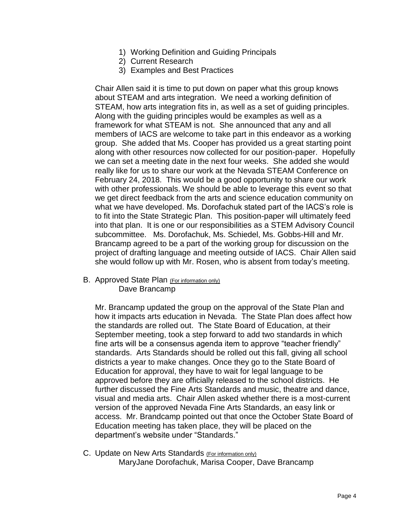- 1) Working Definition and Guiding Principals
- 2) Current Research
- 3) Examples and Best Practices

Chair Allen said it is time to put down on paper what this group knows about STEAM and arts integration. We need a working definition of STEAM, how arts integration fits in, as well as a set of guiding principles. Along with the guiding principles would be examples as well as a framework for what STEAM is not. She announced that any and all members of IACS are welcome to take part in this endeavor as a working group. She added that Ms. Cooper has provided us a great starting point along with other resources now collected for our position-paper. Hopefully we can set a meeting date in the next four weeks. She added she would really like for us to share our work at the Nevada STEAM Conference on February 24, 2018. This would be a good opportunity to share our work with other professionals. We should be able to leverage this event so that we get direct feedback from the arts and science education community on what we have developed. Ms. Dorofachuk stated part of the IACS's role is to fit into the State Strategic Plan. This position-paper will ultimately feed into that plan. It is one or our responsibilities as a STEM Advisory Council subcommittee. Ms. Dorofachuk, Ms. Schiedel, Ms. Gobbs-Hill and Mr. Brancamp agreed to be a part of the working group for discussion on the project of drafting language and meeting outside of IACS. Chair Allen said she would follow up with Mr. Rosen, who is absent from today's meeting.

B. Approved State Plan (For information only) Dave Brancamp

Mr. Brancamp updated the group on the approval of the State Plan and how it impacts arts education in Nevada. The State Plan does affect how the standards are rolled out. The State Board of Education, at their September meeting, took a step forward to add two standards in which fine arts will be a consensus agenda item to approve "teacher friendly" standards. Arts Standards should be rolled out this fall, giving all school districts a year to make changes. Once they go to the State Board of Education for approval, they have to wait for legal language to be approved before they are officially released to the school districts. He further discussed the Fine Arts Standards and music, theatre and dance, visual and media arts. Chair Allen asked whether there is a most-current version of the approved Nevada Fine Arts Standards, an easy link or access. Mr. Brandcamp pointed out that once the October State Board of Education meeting has taken place, they will be placed on the department's website under "Standards."

C. Update on New Arts Standards (For information only) MaryJane Dorofachuk, Marisa Cooper, Dave Brancamp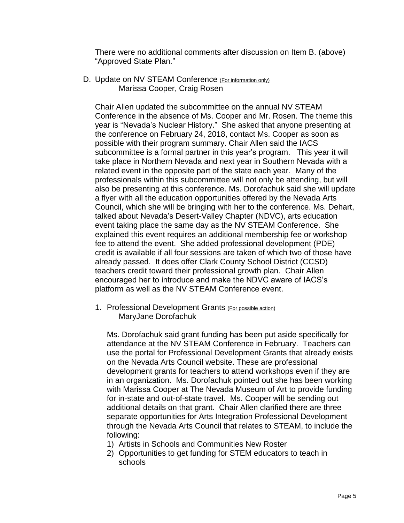There were no additional comments after discussion on Item B. (above) "Approved State Plan."

D. Update on NV STEAM Conference (For information only) Marissa Cooper, Craig Rosen

Chair Allen updated the subcommittee on the annual NV STEAM Conference in the absence of Ms. Cooper and Mr. Rosen. The theme this year is "Nevada's Nuclear History." She asked that anyone presenting at the conference on February 24, 2018, contact Ms. Cooper as soon as possible with their program summary. Chair Allen said the IACS subcommittee is a formal partner in this year's program. This year it will take place in Northern Nevada and next year in Southern Nevada with a related event in the opposite part of the state each year. Many of the professionals within this subcommittee will not only be attending, but will also be presenting at this conference. Ms. Dorofachuk said she will update a flyer with all the education opportunities offered by the Nevada Arts Council, which she will be bringing with her to the conference. Ms. Dehart, talked about Nevada's Desert-Valley Chapter (NDVC), arts education event taking place the same day as the NV STEAM Conference. She explained this event requires an additional membership fee or workshop fee to attend the event. She added professional development (PDE) credit is available if all four sessions are taken of which two of those have already passed. It does offer Clark County School District (CCSD) teachers credit toward their professional growth plan. Chair Allen encouraged her to introduce and make the NDVC aware of IACS's platform as well as the NV STEAM Conference event.

1. Professional Development Grants (For possible action) MaryJane Dorofachuk

Ms. Dorofachuk said grant funding has been put aside specifically for attendance at the NV STEAM Conference in February. Teachers can use the portal for Professional Development Grants that already exists on the Nevada Arts Council website. These are professional development grants for teachers to attend workshops even if they are in an organization. Ms. Dorofachuk pointed out she has been working with Marissa Cooper at The Nevada Museum of Art to provide funding for in-state and out-of-state travel. Ms. Cooper will be sending out additional details on that grant. Chair Allen clarified there are three separate opportunities for Arts Integration Professional Development through the Nevada Arts Council that relates to STEAM, to include the following:

- 1) Artists in Schools and Communities New Roster
- 2) Opportunities to get funding for STEM educators to teach in schools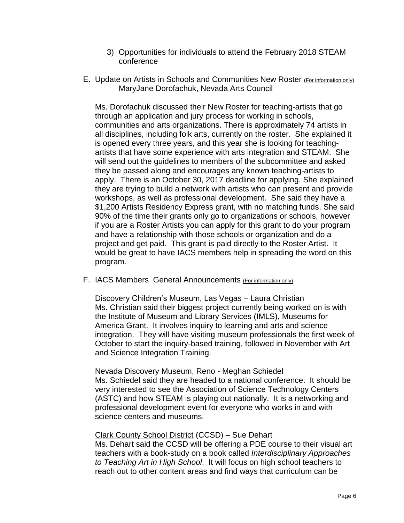- 3) Opportunities for individuals to attend the February 2018 STEAM conference
- E. Update on Artists in Schools and Communities New Roster (For information only) MaryJane Dorofachuk, Nevada Arts Council

Ms. Dorofachuk discussed their New Roster for teaching-artists that go through an application and jury process for working in schools, communities and arts organizations. There is approximately 74 artists in all disciplines, including folk arts, currently on the roster. She explained it is opened every three years, and this year she is looking for teachingartists that have some experience with arts integration and STEAM. She will send out the guidelines to members of the subcommittee and asked they be passed along and encourages any known teaching-artists to apply. There is an October 30, 2017 deadline for applying. She explained they are trying to build a network with artists who can present and provide workshops, as well as professional development. She said they have a \$1,200 Artists Residency Express grant, with no matching funds. She said 90% of the time their grants only go to organizations or schools, however if you are a Roster Artists you can apply for this grant to do your program and have a relationship with those schools or organization and do a project and get paid. This grant is paid directly to the Roster Artist. It would be great to have IACS members help in spreading the word on this program.

F. IACS Members General Announcements (For information only)

Discovery Children's Museum, Las Vegas – Laura Christian Ms. Christian said their biggest project currently being worked on is with the Institute of Museum and Library Services (IMLS), Museums for America Grant. It involves inquiry to learning and arts and science integration. They will have visiting museum professionals the first week of October to start the inquiry-based training, followed in November with Art and Science Integration Training.

#### Nevada Discovery Museum, Reno - Meghan Schiedel Ms. Schiedel said they are headed to a national conference. It should be very interested to see the Association of Science Technology Centers (ASTC) and how STEAM is playing out nationally. It is a networking and professional development event for everyone who works in and with science centers and museums.

# Clark County School District (CCSD) – Sue Dehart

Ms. Dehart said the CCSD will be offering a PDE course to their visual art teachers with a book-study on a book called *Interdisciplinary Approaches to Teaching Art in High School*. It will focus on high school teachers to reach out to other content areas and find ways that curriculum can be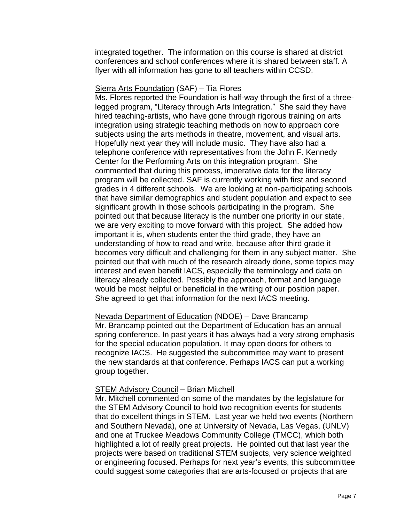integrated together. The information on this course is shared at district conferences and school conferences where it is shared between staff. A flyer with all information has gone to all teachers within CCSD.

### Sierra Arts Foundation (SAF) – Tia Flores

Ms. Flores reported the Foundation is half-way through the first of a threelegged program, "Literacy through Arts Integration." She said they have hired teaching-artists, who have gone through rigorous training on arts integration using strategic teaching methods on how to approach core subjects using the arts methods in theatre, movement, and visual arts. Hopefully next year they will include music. They have also had a telephone conference with representatives from the John F. Kennedy Center for the Performing Arts on this integration program. She commented that during this process, imperative data for the literacy program will be collected. SAF is currently working with first and second grades in 4 different schools. We are looking at non-participating schools that have similar demographics and student population and expect to see significant growth in those schools participating in the program. She pointed out that because literacy is the number one priority in our state, we are very exciting to move forward with this project. She added how important it is, when students enter the third grade, they have an understanding of how to read and write, because after third grade it becomes very difficult and challenging for them in any subject matter. She pointed out that with much of the research already done, some topics may interest and even benefit IACS, especially the terminology and data on literacy already collected. Possibly the approach, format and language would be most helpful or beneficial in the writing of our position paper. She agreed to get that information for the next IACS meeting.

Nevada Department of Education (NDOE) – Dave Brancamp Mr. Brancamp pointed out the Department of Education has an annual spring conference. In past years it has always had a very strong emphasis for the special education population. It may open doors for others to recognize IACS. He suggested the subcommittee may want to present the new standards at that conference. Perhaps IACS can put a working group together.

# STEM Advisory Council – Brian Mitchell

Mr. Mitchell commented on some of the mandates by the legislature for the STEM Advisory Council to hold two recognition events for students that do excellent things in STEM. Last year we held two events (Northern and Southern Nevada), one at University of Nevada, Las Vegas, (UNLV) and one at Truckee Meadows Community College (TMCC), which both highlighted a lot of really great projects. He pointed out that last year the projects were based on traditional STEM subjects, very science weighted or engineering focused. Perhaps for next year's events, this subcommittee could suggest some categories that are arts-focused or projects that are